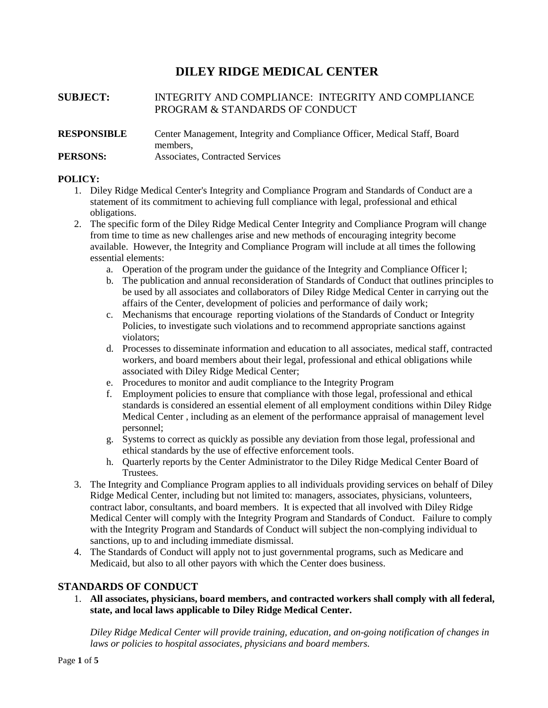# **DILEY RIDGE MEDICAL CENTER**

## **SUBJECT:** INTEGRITY AND COMPLIANCE: INTEGRITY AND COMPLIANCE PROGRAM & STANDARDS OF CONDUCT

### **RESPONSIBLE** Center Management, Integrity and Compliance Officer, Medical Staff, Board members, **PERSONS:** Associates, Contracted Services

### **POLICY:**

- 1. Diley Ridge Medical Center's Integrity and Compliance Program and Standards of Conduct are a statement of its commitment to achieving full compliance with legal, professional and ethical obligations.
- 2. The specific form of the Diley Ridge Medical Center Integrity and Compliance Program will change from time to time as new challenges arise and new methods of encouraging integrity become available. However, the Integrity and Compliance Program will include at all times the following essential elements:
	- a. Operation of the program under the guidance of the Integrity and Compliance Officer l;
	- b. The publication and annual reconsideration of Standards of Conduct that outlines principles to be used by all associates and collaborators of Diley Ridge Medical Center in carrying out the affairs of the Center, development of policies and performance of daily work;
	- c. Mechanisms that encourage reporting violations of the Standards of Conduct or Integrity Policies, to investigate such violations and to recommend appropriate sanctions against violators;
	- d. Processes to disseminate information and education to all associates, medical staff, contracted workers, and board members about their legal, professional and ethical obligations while associated with Diley Ridge Medical Center;
	- e. Procedures to monitor and audit compliance to the Integrity Program
	- f. Employment policies to ensure that compliance with those legal, professional and ethical standards is considered an essential element of all employment conditions within Diley Ridge Medical Center , including as an element of the performance appraisal of management level personnel;
	- g. Systems to correct as quickly as possible any deviation from those legal, professional and ethical standards by the use of effective enforcement tools.
	- h. Quarterly reports by the Center Administrator to the Diley Ridge Medical Center Board of Trustees.
- 3. The Integrity and Compliance Program applies to all individuals providing services on behalf of Diley Ridge Medical Center, including but not limited to: managers, associates, physicians, volunteers, contract labor, consultants, and board members. It is expected that all involved with Diley Ridge Medical Center will comply with the Integrity Program and Standards of Conduct. Failure to comply with the Integrity Program and Standards of Conduct will subject the non-complying individual to sanctions, up to and including immediate dismissal.
- 4. The Standards of Conduct will apply not to just governmental programs, such as Medicare and Medicaid, but also to all other payors with which the Center does business.

### **STANDARDS OF CONDUCT**

1. **All associates, physicians, board members, and contracted workers shall comply with all federal, state, and local laws applicable to Diley Ridge Medical Center.**

*Diley Ridge Medical Center will provide training, education, and on-going notification of changes in laws or policies to hospital associates, physicians and board members.*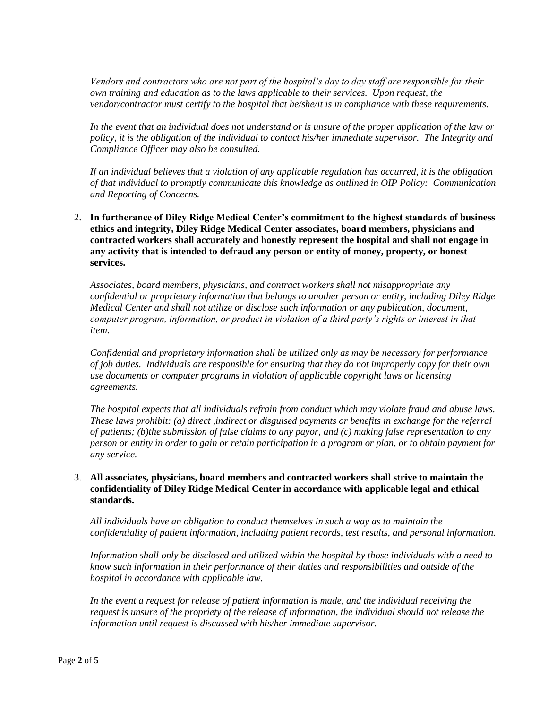*Vendors and contractors who are not part of the hospital's day to day staff are responsible for their own training and education as to the laws applicable to their services. Upon request, the vendor/contractor must certify to the hospital that he/she/it is in compliance with these requirements.*

*In the event that an individual does not understand or is unsure of the proper application of the law or policy, it is the obligation of the individual to contact his/her immediate supervisor. The Integrity and Compliance Officer may also be consulted.*

*If an individual believes that a violation of any applicable regulation has occurred, it is the obligation of that individual to promptly communicate this knowledge as outlined in OIP Policy: Communication and Reporting of Concerns.*

2. **In furtherance of Diley Ridge Medical Center's commitment to the highest standards of business ethics and integrity, Diley Ridge Medical Center associates, board members, physicians and contracted workers shall accurately and honestly represent the hospital and shall not engage in any activity that is intended to defraud any person or entity of money, property, or honest services.**

*Associates, board members, physicians, and contract workers shall not misappropriate any confidential or proprietary information that belongs to another person or entity, including Diley Ridge Medical Center and shall not utilize or disclose such information or any publication, document, computer program, information, or product in violation of a third party's rights or interest in that item.*

*Confidential and proprietary information shall be utilized only as may be necessary for performance of job duties. Individuals are responsible for ensuring that they do not improperly copy for their own use documents or computer programs in violation of applicable copyright laws or licensing agreements.*

*The hospital expects that all individuals refrain from conduct which may violate fraud and abuse laws. These laws prohibit: (a) direct ,indirect or disguised payments or benefits in exchange for the referral of patients; (b)the submission of false claims to any payor, and (c) making false representation to any person or entity in order to gain or retain participation in a program or plan, or to obtain payment for any service.*

### 3. **All associates, physicians, board members and contracted workers shall strive to maintain the confidentiality of Diley Ridge Medical Center in accordance with applicable legal and ethical standards.**

*All individuals have an obligation to conduct themselves in such a way as to maintain the confidentiality of patient information, including patient records, test results, and personal information.*

*Information shall only be disclosed and utilized within the hospital by those individuals with a need to know such information in their performance of their duties and responsibilities and outside of the hospital in accordance with applicable law.*

*In the event a request for release of patient information is made, and the individual receiving the request is unsure of the propriety of the release of information, the individual should not release the information until request is discussed with his/her immediate supervisor.*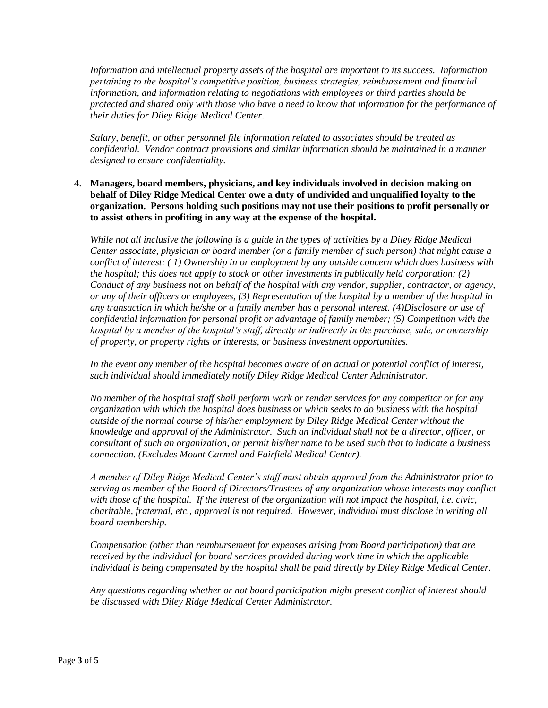*Information and intellectual property assets of the hospital are important to its success. Information pertaining to the hospital's competitive position, business strategies, reimbursement and financial information, and information relating to negotiations with employees or third parties should be protected and shared only with those who have a need to know that information for the performance of their duties for Diley Ridge Medical Center.*

*Salary, benefit, or other personnel file information related to associates should be treated as confidential. Vendor contract provisions and similar information should be maintained in a manner designed to ensure confidentiality.*

4. **Managers, board members, physicians, and key individuals involved in decision making on behalf of Diley Ridge Medical Center owe a duty of undivided and unqualified loyalty to the organization. Persons holding such positions may not use their positions to profit personally or to assist others in profiting in any way at the expense of the hospital.**

*While not all inclusive the following is a guide in the types of activities by a Diley Ridge Medical Center associate, physician or board member (or a family member of such person) that might cause a conflict of interest: ( 1) Ownership in or employment by any outside concern which does business with the hospital; this does not apply to stock or other investments in publically held corporation; (2) Conduct of any business not on behalf of the hospital with any vendor, supplier, contractor, or agency, or any of their officers or employees, (3) Representation of the hospital by a member of the hospital in any transaction in which he/she or a family member has a personal interest. (4)Disclosure or use of confidential information for personal profit or advantage of family member; (5) Competition with the hospital by a member of the hospital's staff, directly or indirectly in the purchase, sale, or ownership of property, or property rights or interests, or business investment opportunities.*

*In the event any member of the hospital becomes aware of an actual or potential conflict of interest, such individual should immediately notify Diley Ridge Medical Center Administrator.*

*No member of the hospital staff shall perform work or render services for any competitor or for any organization with which the hospital does business or which seeks to do business with the hospital outside of the normal course of his/her employment by Diley Ridge Medical Center without the knowledge and approval of the Administrator. Such an individual shall not be a director, officer, or consultant of such an organization, or permit his/her name to be used such that to indicate a business connection. (Excludes Mount Carmel and Fairfield Medical Center).*

*A member of Diley Ridge Medical Center's staff must obtain approval from the Administrator prior to serving as member of the Board of Directors/Trustees of any organization whose interests may conflict with those of the hospital. If the interest of the organization will not impact the hospital, i.e. civic, charitable, fraternal, etc., approval is not required. However, individual must disclose in writing all board membership.*

*Compensation (other than reimbursement for expenses arising from Board participation) that are received by the individual for board services provided during work time in which the applicable individual is being compensated by the hospital shall be paid directly by Diley Ridge Medical Center.*

 *Any questions regarding whether or not board participation might present conflict of interest should be discussed with Diley Ridge Medical Center Administrator.*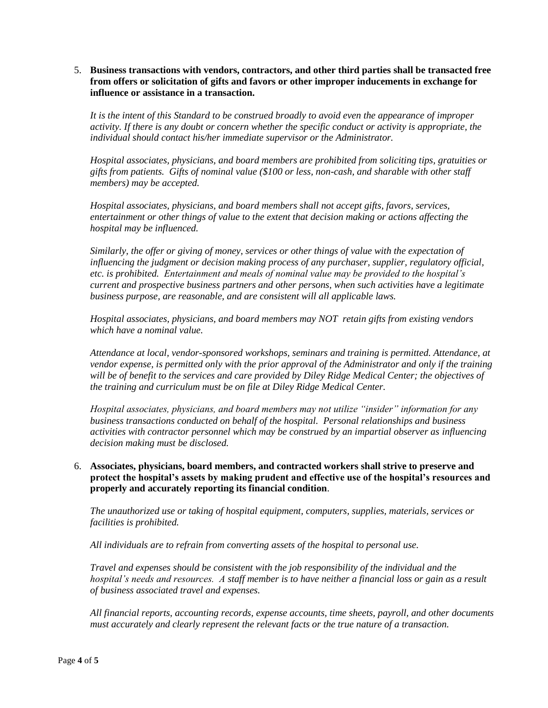### 5. **Business transactions with vendors, contractors, and other third parties shall be transacted free from offers or solicitation of gifts and favors or other improper inducements in exchange for influence or assistance in a transaction.**

*It is the intent of this Standard to be construed broadly to avoid even the appearance of improper activity. If there is any doubt or concern whether the specific conduct or activity is appropriate, the individual should contact his/her immediate supervisor or the Administrator.*

*Hospital associates, physicians, and board members are prohibited from soliciting tips, gratuities or gifts from patients. Gifts of nominal value (\$100 or less, non-cash, and sharable with other staff members) may be accepted.*

*Hospital associates, physicians, and board members shall not accept gifts, favors, services, entertainment or other things of value to the extent that decision making or actions affecting the hospital may be influenced.* 

 *Similarly, the offer or giving of money, services or other things of value with the expectation of influencing the judgment or decision making process of any purchaser, supplier, regulatory official, etc. is prohibited. Entertainment and meals of nominal value may be provided to the hospital's current and prospective business partners and other persons, when such activities have a legitimate business purpose, are reasonable, and are consistent will all applicable laws.*

*Hospital associates, physicians, and board members may NOT retain gifts from existing vendors which have a nominal value.*

*Attendance at local, vendor-sponsored workshops, seminars and training is permitted. Attendance, at vendor expense, is permitted only with the prior approval of the Administrator and only if the training will be of benefit to the services and care provided by Diley Ridge Medical Center; the objectives of the training and curriculum must be on file at Diley Ridge Medical Center.*

*Hospital associates, physicians, and board members may not utilize "insider" information for any business transactions conducted on behalf of the hospital. Personal relationships and business activities with contractor personnel which may be construed by an impartial observer as influencing decision making must be disclosed.*

### 6. **Associates, physicians, board members, and contracted workers shall strive to preserve and protect the hospital's assets by making prudent and effective use of the hospital's resources and properly and accurately reporting its financial condition**.

*The unauthorized use or taking of hospital equipment, computers, supplies, materials, services or facilities is prohibited.*

*All individuals are to refrain from converting assets of the hospital to personal use.*

*Travel and expenses should be consistent with the job responsibility of the individual and the hospital's needs and resources. A staff member is to have neither a financial loss or gain as a result of business associated travel and expenses.*

*All financial reports, accounting records, expense accounts, time sheets, payroll, and other documents must accurately and clearly represent the relevant facts or the true nature of a transaction.*